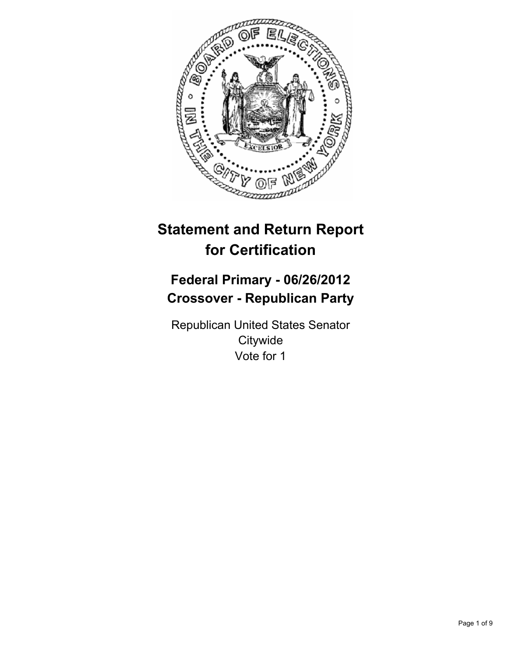

# **Statement and Return Report for Certification**

# **Federal Primary - 06/26/2012 Crossover - Republican Party**

Republican United States Senator **Citywide** Vote for 1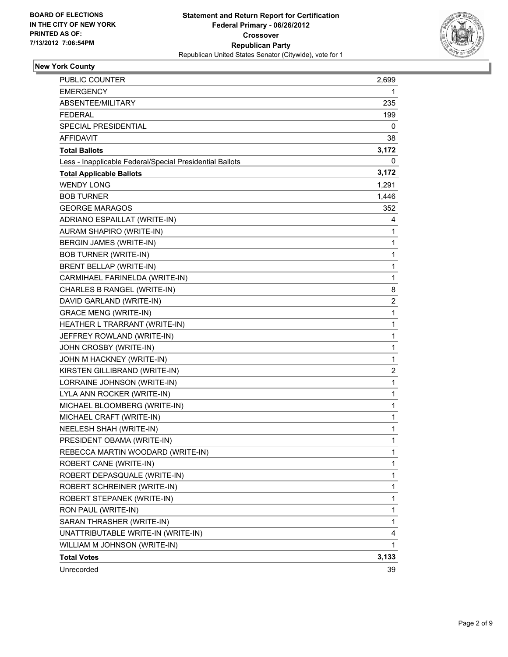

# **New York County**

| <b>PUBLIC COUNTER</b>                                    | 2,699 |
|----------------------------------------------------------|-------|
| EMERGENCY                                                | 1     |
| ABSENTEE/MILITARY                                        | 235   |
| FEDERAL                                                  | 199   |
| SPECIAL PRESIDENTIAL                                     | 0     |
| <b>AFFIDAVIT</b>                                         | 38    |
| <b>Total Ballots</b>                                     | 3,172 |
| Less - Inapplicable Federal/Special Presidential Ballots | 0     |
| <b>Total Applicable Ballots</b>                          | 3,172 |
| <b>WENDY LONG</b>                                        | 1,291 |
| <b>BOB TURNER</b>                                        | 1,446 |
| <b>GEORGE MARAGOS</b>                                    | 352   |
| ADRIANO ESPAILLAT (WRITE-IN)                             | 4     |
| AURAM SHAPIRO (WRITE-IN)                                 | 1     |
| BERGIN JAMES (WRITE-IN)                                  | 1     |
| <b>BOB TURNER (WRITE-IN)</b>                             | 1     |
| BRENT BELLAP (WRITE-IN)                                  | 1     |
| CARMIHAEL FARINELDA (WRITE-IN)                           | 1     |
| CHARLES B RANGEL (WRITE-IN)                              | 8     |
| DAVID GARLAND (WRITE-IN)                                 | 2     |
| <b>GRACE MENG (WRITE-IN)</b>                             | 1     |
| HEATHER L TRARRANT (WRITE-IN)                            | 1     |
| JEFFREY ROWLAND (WRITE-IN)                               | 1     |
| JOHN CROSBY (WRITE-IN)                                   | 1     |
| JOHN M HACKNEY (WRITE-IN)                                | 1     |
| KIRSTEN GILLIBRAND (WRITE-IN)                            | 2     |
| LORRAINE JOHNSON (WRITE-IN)                              | 1     |
| LYLA ANN ROCKER (WRITE-IN)                               | 1     |
| MICHAEL BLOOMBERG (WRITE-IN)                             | 1     |
| MICHAEL CRAFT (WRITE-IN)                                 | 1     |
| NEELESH SHAH (WRITE-IN)                                  | 1     |
| PRESIDENT OBAMA (WRITE-IN)                               | 1     |
| REBECCA MARTIN WOODARD (WRITE-IN)                        | 1     |
| ROBERT CANE (WRITE-IN)                                   | 1     |
| ROBERT DEPASQUALE (WRITE-IN)                             | 1     |
| ROBERT SCHREINER (WRITE-IN)                              | 1     |
| ROBERT STEPANEK (WRITE-IN)                               | 1     |
| RON PAUL (WRITE-IN)                                      | 1     |
| SARAN THRASHER (WRITE-IN)                                | 1     |
| UNATTRIBUTABLE WRITE-IN (WRITE-IN)                       | 4     |
| WILLIAM M JOHNSON (WRITE-IN)                             | 1     |
| <b>Total Votes</b>                                       | 3,133 |
| Unrecorded                                               | 39    |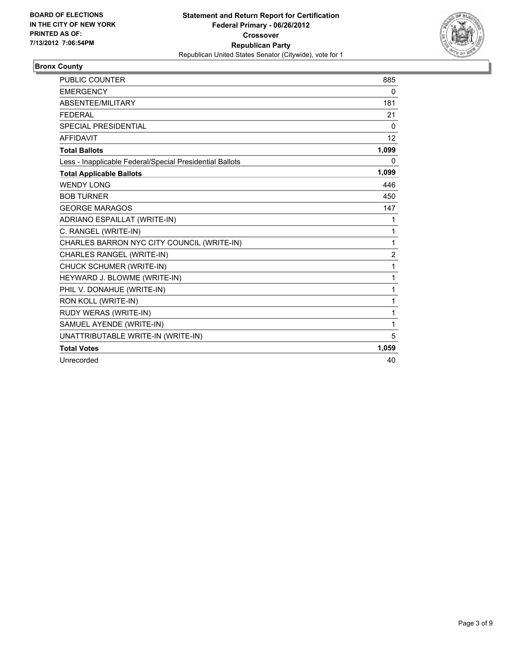

## **Bronx County**

| <b>PUBLIC COUNTER</b>                                    | 885            |
|----------------------------------------------------------|----------------|
| <b>EMERGENCY</b>                                         | 0              |
| ABSENTEE/MILITARY                                        | 181            |
| <b>FEDERAL</b>                                           | 21             |
| <b>SPECIAL PRESIDENTIAL</b>                              | $\Omega$       |
| <b>AFFIDAVIT</b>                                         | 12             |
| <b>Total Ballots</b>                                     | 1,099          |
| Less - Inapplicable Federal/Special Presidential Ballots | 0              |
| <b>Total Applicable Ballots</b>                          | 1,099          |
| <b>WENDY LONG</b>                                        | 446            |
| <b>BOB TURNER</b>                                        | 450            |
| <b>GEORGE MARAGOS</b>                                    | 147            |
| ADRIANO ESPAILLAT (WRITE-IN)                             | 1              |
| C. RANGEL (WRITE-IN)                                     | 1              |
| CHARLES BARRON NYC CITY COUNCIL (WRITE-IN)               | 1              |
| CHARLES RANGEL (WRITE-IN)                                | $\overline{2}$ |
| CHUCK SCHUMER (WRITE-IN)                                 | 1              |
| HEYWARD J. BLOWME (WRITE-IN)                             | 1              |
| PHIL V. DONAHUE (WRITE-IN)                               | 1              |
| RON KOLL (WRITE-IN)                                      | 1              |
| RUDY WERAS (WRITE-IN)                                    | 1              |
| SAMUEL AYENDE (WRITE-IN)                                 | 1              |
| UNATTRIBUTABLE WRITE-IN (WRITE-IN)                       | 5              |
| <b>Total Votes</b>                                       | 1,059          |
| Unrecorded                                               | 40             |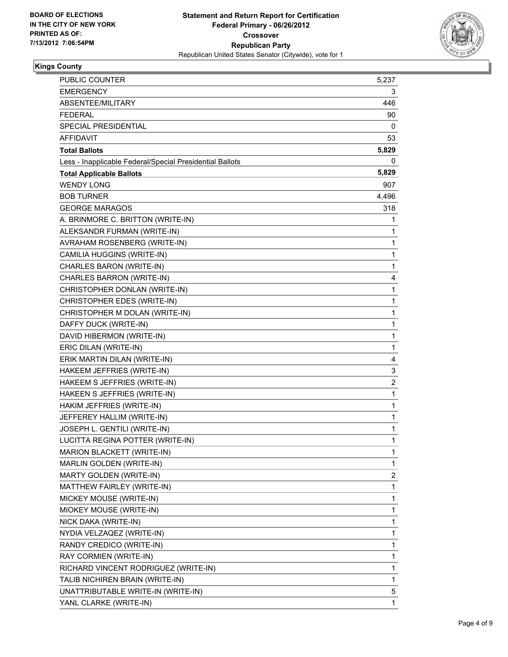

## **Kings County**

| PUBLIC COUNTER                                           | 5,237        |
|----------------------------------------------------------|--------------|
| <b>EMERGENCY</b>                                         | 3            |
| ABSENTEE/MILITARY                                        | 446          |
| FEDERAL                                                  | 90           |
| SPECIAL PRESIDENTIAL                                     | 0            |
| AFFIDAVIT                                                | 53           |
| <b>Total Ballots</b>                                     | 5,829        |
| Less - Inapplicable Federal/Special Presidential Ballots | 0            |
| <b>Total Applicable Ballots</b>                          | 5,829        |
| <b>WENDY LONG</b>                                        | 907          |
| <b>BOB TURNER</b>                                        | 4,496        |
| <b>GEORGE MARAGOS</b>                                    | 318          |
| A. BRINMORE C. BRITTON (WRITE-IN)                        | 1            |
| ALEKSANDR FURMAN (WRITE-IN)                              | 1            |
| AVRAHAM ROSENBERG (WRITE-IN)                             | 1            |
| CAMILIA HUGGINS (WRITE-IN)                               | 1            |
| CHARLES BARON (WRITE-IN)                                 | 1            |
| CHARLES BARRON (WRITE-IN)                                | 4            |
| CHRISTOPHER DONLAN (WRITE-IN)                            | 1            |
| CHRISTOPHER EDES (WRITE-IN)                              | 1            |
| CHRISTOPHER M DOLAN (WRITE-IN)                           | 1            |
| DAFFY DUCK (WRITE-IN)                                    | 1            |
| DAVID HIBERMON (WRITE-IN)                                | 1            |
| ERIC DILAN (WRITE-IN)                                    | 1            |
| ERIK MARTIN DILAN (WRITE-IN)                             | 4            |
| HAKEEM JEFFRIES (WRITE-IN)                               | 3            |
| HAKEEM S JEFFRIES (WRITE-IN)                             | 2            |
| HAKEEN S JEFFRIES (WRITE-IN)                             | 1            |
| HAKIM JEFFRIES (WRITE-IN)                                | 1            |
| JEFFEREY HALLIM (WRITE-IN)                               | 1            |
| JOSEPH L. GENTILI (WRITE-IN)                             | 1            |
| LUCITTA REGINA POTTER (WRITE-IN)                         | $\mathbf{1}$ |
| <b>MARION BLACKETT (WRITE-IN)</b>                        | 1            |
| MARLIN GOLDEN (WRITE-IN)                                 | 1            |
| MARTY GOLDEN (WRITE-IN)                                  | 2            |
| MATTHEW FAIRLEY (WRITE-IN)                               | 1            |
| MICKEY MOUSE (WRITE-IN)                                  | 1            |
| MIOKEY MOUSE (WRITE-IN)                                  | 1            |
| NICK DAKA (WRITE-IN)                                     | 1            |
| NYDIA VELZAQEZ (WRITE-IN)                                | 1            |
| RANDY CREDICO (WRITE-IN)                                 | 1            |
| RAY CORMIEN (WRITE-IN)                                   | 1            |
| RICHARD VINCENT RODRIGUEZ (WRITE-IN)                     | 1            |
| TALIB NICHIREN BRAIN (WRITE-IN)                          | 1            |
| UNATTRIBUTABLE WRITE-IN (WRITE-IN)                       | 5            |
| YANL CLARKE (WRITE-IN)                                   | 1            |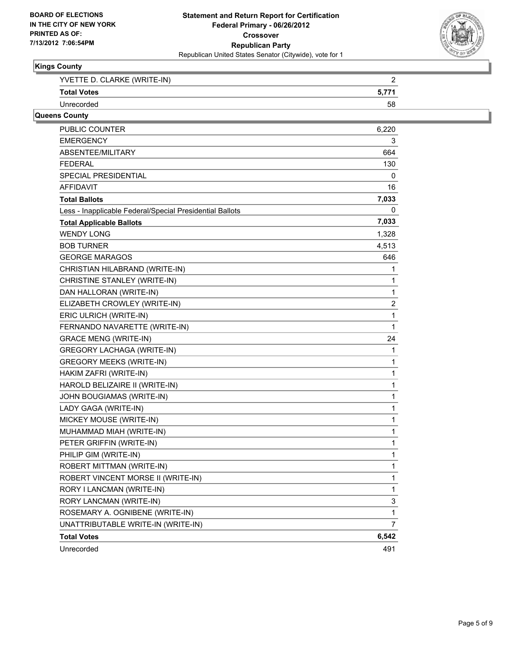

### **Kings County**

| YVETTE D. CLARKE (WRITE-IN) |  |
|-----------------------------|--|
| <b>Total Votes</b>          |  |
| Unrecorded                  |  |

# **Queens County**

| PUBLIC COUNTER                                           | 6,220 |
|----------------------------------------------------------|-------|
| <b>EMERGENCY</b>                                         | 3     |
| ABSENTEE/MILITARY                                        | 664   |
| <b>FEDERAL</b>                                           | 130   |
| <b>SPECIAL PRESIDENTIAL</b>                              | 0     |
| <b>AFFIDAVIT</b>                                         | 16    |
| <b>Total Ballots</b>                                     | 7,033 |
| Less - Inapplicable Federal/Special Presidential Ballots | 0     |
| <b>Total Applicable Ballots</b>                          | 7,033 |
| <b>WENDY LONG</b>                                        | 1,328 |
| <b>BOB TURNER</b>                                        | 4,513 |
| <b>GEORGE MARAGOS</b>                                    | 646   |
| CHRISTIAN HILABRAND (WRITE-IN)                           | 1     |
| CHRISTINE STANLEY (WRITE-IN)                             | 1     |
| DAN HALLORAN (WRITE-IN)                                  | 1     |
| ELIZABETH CROWLEY (WRITE-IN)                             | 2     |
| ERIC ULRICH (WRITE-IN)                                   | 1     |
| FERNANDO NAVARETTE (WRITE-IN)                            | 1     |
| <b>GRACE MENG (WRITE-IN)</b>                             | 24    |
| <b>GREGORY LACHAGA (WRITE-IN)</b>                        | 1     |
| GREGORY MEEKS (WRITE-IN)                                 | 1     |
| HAKIM ZAFRI (WRITE-IN)                                   | 1     |
| HAROLD BELIZAIRE II (WRITE-IN)                           | 1     |
| JOHN BOUGIAMAS (WRITE-IN)                                | 1     |
| LADY GAGA (WRITE-IN)                                     | 1     |
| MICKEY MOUSE (WRITE-IN)                                  | 1     |
| MUHAMMAD MIAH (WRITE-IN)                                 | 1     |
| PETER GRIFFIN (WRITE-IN)                                 | 1     |
| PHILIP GIM (WRITE-IN)                                    | 1     |
| ROBERT MITTMAN (WRITE-IN)                                | 1     |
| ROBERT VINCENT MORSE II (WRITE-IN)                       | 1     |
| RORY I LANCMAN (WRITE-IN)                                | 1     |
| RORY LANCMAN (WRITE-IN)                                  | 3     |
| ROSEMARY A. OGNIBENE (WRITE-IN)                          | 1     |
| UNATTRIBUTABLE WRITE-IN (WRITE-IN)                       | 7     |
| <b>Total Votes</b>                                       | 6,542 |
| Unrecorded                                               | 491   |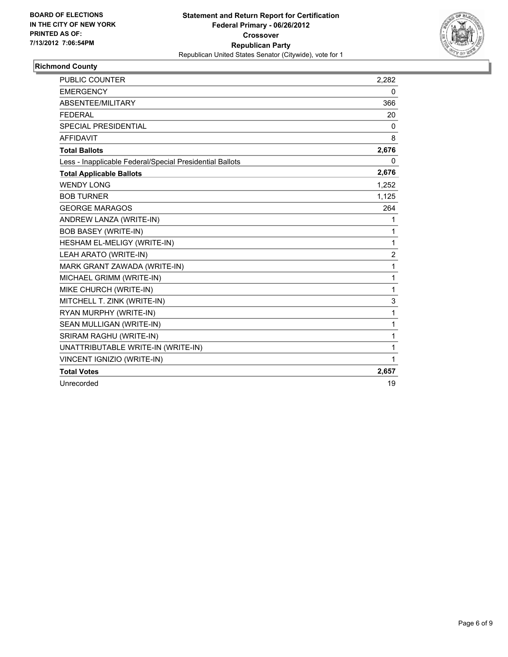

# **Richmond County**

| <b>PUBLIC COUNTER</b>                                    | 2,282 |
|----------------------------------------------------------|-------|
| <b>EMERGENCY</b>                                         | 0     |
| ABSENTEE/MILITARY                                        | 366   |
| <b>FEDERAL</b>                                           | 20    |
| <b>SPECIAL PRESIDENTIAL</b>                              | 0     |
| <b>AFFIDAVIT</b>                                         | 8     |
| <b>Total Ballots</b>                                     | 2,676 |
| Less - Inapplicable Federal/Special Presidential Ballots | 0     |
| <b>Total Applicable Ballots</b>                          | 2,676 |
| <b>WENDY LONG</b>                                        | 1,252 |
| <b>BOB TURNER</b>                                        | 1,125 |
| <b>GEORGE MARAGOS</b>                                    | 264   |
| ANDREW LANZA (WRITE-IN)                                  | 1     |
| <b>BOB BASEY (WRITE-IN)</b>                              | 1     |
| HESHAM EL-MELIGY (WRITE-IN)                              | 1     |
| LEAH ARATO (WRITE-IN)                                    | 2     |
| MARK GRANT ZAWADA (WRITE-IN)                             | 1     |
| MICHAEL GRIMM (WRITE-IN)                                 | 1     |
| MIKE CHURCH (WRITE-IN)                                   | 1     |
| MITCHELL T. ZINK (WRITE-IN)                              | 3     |
| RYAN MURPHY (WRITE-IN)                                   | 1     |
| SEAN MULLIGAN (WRITE-IN)                                 | 1     |
| SRIRAM RAGHU (WRITE-IN)                                  | 1     |
| UNATTRIBUTABLE WRITE-IN (WRITE-IN)                       | 1     |
| VINCENT IGNIZIO (WRITE-IN)                               | 1     |
| <b>Total Votes</b>                                       | 2,657 |
| Unrecorded                                               | 19    |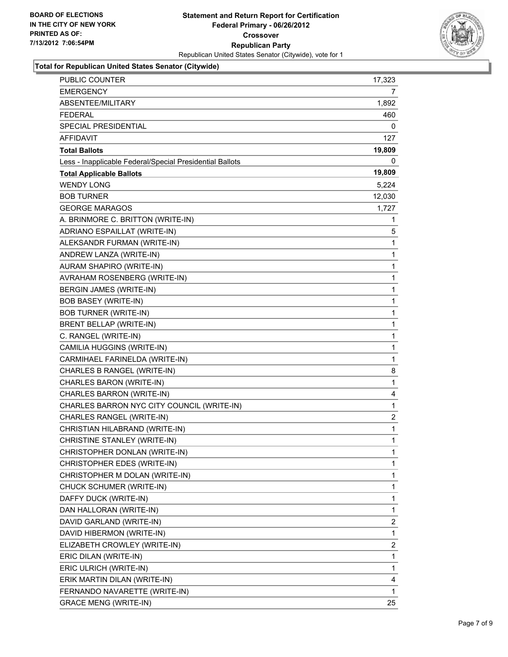

### **Total for Republican United States Senator (Citywide)**

| <b>PUBLIC COUNTER</b>                                    | 17,323       |
|----------------------------------------------------------|--------------|
| <b>EMERGENCY</b>                                         | 7            |
| ABSENTEE/MILITARY                                        | 1,892        |
| FEDERAL                                                  | 460          |
| SPECIAL PRESIDENTIAL                                     | 0            |
| <b>AFFIDAVIT</b>                                         | 127          |
| <b>Total Ballots</b>                                     | 19,809       |
| Less - Inapplicable Federal/Special Presidential Ballots | 0            |
| <b>Total Applicable Ballots</b>                          | 19,809       |
| <b>WENDY LONG</b>                                        | 5,224        |
| <b>BOB TURNER</b>                                        | 12,030       |
| <b>GEORGE MARAGOS</b>                                    | 1,727        |
| A. BRINMORE C. BRITTON (WRITE-IN)                        | 1            |
| ADRIANO ESPAILLAT (WRITE-IN)                             | 5            |
| ALEKSANDR FURMAN (WRITE-IN)                              | $\mathbf{1}$ |
| ANDREW LANZA (WRITE-IN)                                  | 1            |
| AURAM SHAPIRO (WRITE-IN)                                 | 1            |
| AVRAHAM ROSENBERG (WRITE-IN)                             | 1            |
| BERGIN JAMES (WRITE-IN)                                  | 1            |
| <b>BOB BASEY (WRITE-IN)</b>                              | 1            |
| <b>BOB TURNER (WRITE-IN)</b>                             | 1            |
| BRENT BELLAP (WRITE-IN)                                  | 1            |
| C. RANGEL (WRITE-IN)                                     | 1            |
| CAMILIA HUGGINS (WRITE-IN)                               | 1            |
| CARMIHAEL FARINELDA (WRITE-IN)                           | 1            |
| CHARLES B RANGEL (WRITE-IN)                              | 8            |
| CHARLES BARON (WRITE-IN)                                 | 1            |
| CHARLES BARRON (WRITE-IN)                                | 4            |
| CHARLES BARRON NYC CITY COUNCIL (WRITE-IN)               | 1            |
| CHARLES RANGEL (WRITE-IN)                                | 2            |
| CHRISTIAN HILABRAND (WRITE-IN)                           | 1            |
| CHRISTINE STANLEY (WRITE-IN)                             | 1            |
| CHRISTOPHER DONLAN (WRITE-IN)                            | 1            |
| CHRISTOPHER EDES (WRITE-IN)                              | 1            |
| CHRISTOPHER M DOLAN (WRITE-IN)                           | 1            |
| CHUCK SCHUMER (WRITE-IN)                                 | 1            |
| DAFFY DUCK (WRITE-IN)                                    | 1            |
| DAN HALLORAN (WRITE-IN)                                  | 1            |
| DAVID GARLAND (WRITE-IN)                                 | 2            |
| DAVID HIBERMON (WRITE-IN)                                | 1            |
| ELIZABETH CROWLEY (WRITE-IN)                             | $\mathbf{2}$ |
| ERIC DILAN (WRITE-IN)                                    | 1            |
| ERIC ULRICH (WRITE-IN)                                   | 1            |
| ERIK MARTIN DILAN (WRITE-IN)                             | 4            |
| FERNANDO NAVARETTE (WRITE-IN)                            | 1            |
| <b>GRACE MENG (WRITE-IN)</b>                             | 25           |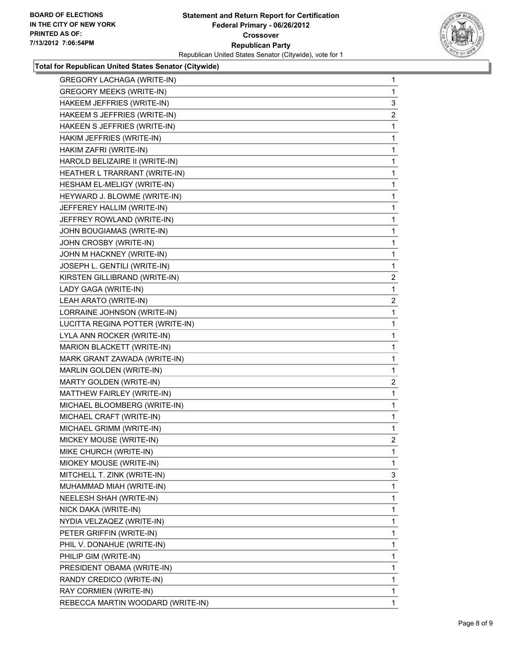

#### **Total for Republican United States Senator (Citywide)**

| <b>GREGORY LACHAGA (WRITE-IN)</b> | 1              |
|-----------------------------------|----------------|
| <b>GREGORY MEEKS (WRITE-IN)</b>   | $\mathbf{1}$   |
| HAKEEM JEFFRIES (WRITE-IN)        | 3              |
| HAKEEM S JEFFRIES (WRITE-IN)      | $\overline{2}$ |
| HAKEEN S JEFFRIES (WRITE-IN)      | 1              |
| HAKIM JEFFRIES (WRITE-IN)         | 1              |
| HAKIM ZAFRI (WRITE-IN)            | 1              |
| HAROLD BELIZAIRE II (WRITE-IN)    | 1              |
| HEATHER L TRARRANT (WRITE-IN)     | 1              |
| HESHAM EL-MELIGY (WRITE-IN)       | 1              |
| HEYWARD J. BLOWME (WRITE-IN)      | 1              |
| JEFFEREY HALLIM (WRITE-IN)        | 1              |
| JEFFREY ROWLAND (WRITE-IN)        | 1              |
| JOHN BOUGIAMAS (WRITE-IN)         | 1              |
| JOHN CROSBY (WRITE-IN)            | 1              |
| JOHN M HACKNEY (WRITE-IN)         | 1              |
| JOSEPH L. GENTILI (WRITE-IN)      | 1              |
| KIRSTEN GILLIBRAND (WRITE-IN)     | $\overline{a}$ |
| LADY GAGA (WRITE-IN)              | 1              |
| LEAH ARATO (WRITE-IN)             | $\overline{2}$ |
| LORRAINE JOHNSON (WRITE-IN)       | 1              |
| LUCITTA REGINA POTTER (WRITE-IN)  | 1              |
| LYLA ANN ROCKER (WRITE-IN)        | 1              |
| MARION BLACKETT (WRITE-IN)        | 1              |
| MARK GRANT ZAWADA (WRITE-IN)      | 1              |
| MARLIN GOLDEN (WRITE-IN)          | 1              |
| MARTY GOLDEN (WRITE-IN)           | $\overline{2}$ |
| MATTHEW FAIRLEY (WRITE-IN)        | 1              |
| MICHAEL BLOOMBERG (WRITE-IN)      | 1              |
| MICHAEL CRAFT (WRITE-IN)          | 1              |
| MICHAEL GRIMM (WRITE-IN)          | 1              |
| MICKEY MOUSE (WRITE-IN)           | $\overline{2}$ |
| MIKE CHURCH (WRITE-IN)            | 1              |
| MIOKEY MOUSE (WRITE-IN)           | 1              |
| MITCHELL T. ZINK (WRITE-IN)       | 3              |
| MUHAMMAD MIAH (WRITE-IN)          | 1              |
| NEELESH SHAH (WRITE-IN)           | 1              |
| NICK DAKA (WRITE-IN)              | 1              |
| NYDIA VELZAQEZ (WRITE-IN)         | 1              |
| PETER GRIFFIN (WRITE-IN)          | 1              |
| PHIL V. DONAHUE (WRITE-IN)        | 1              |
| PHILIP GIM (WRITE-IN)             | 1              |
| PRESIDENT OBAMA (WRITE-IN)        | 1              |
| RANDY CREDICO (WRITE-IN)          | 1              |
| RAY CORMIEN (WRITE-IN)            | 1              |
| REBECCA MARTIN WOODARD (WRITE-IN) | $\mathbf{1}$   |
|                                   |                |